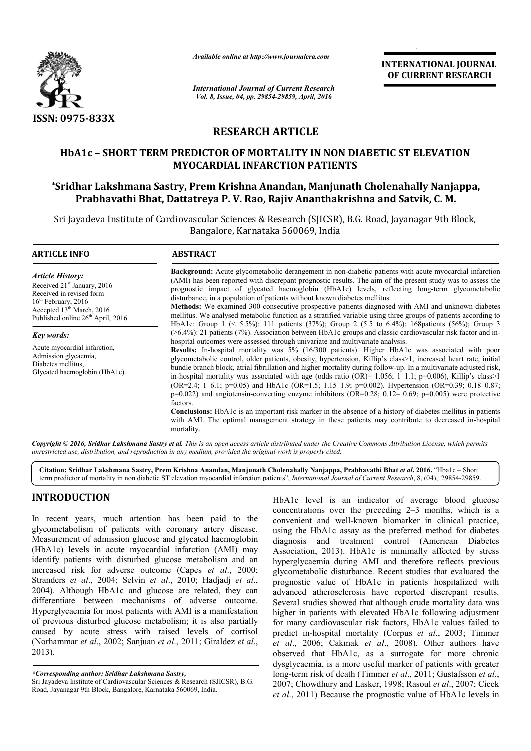

*Available online at http://www.journalcra.com*

*International Journal of Current Research Vol. 8, Issue, 04, pp. 29854-29859, April, 2016*

**INTERNATIONAL JOURNAL OF CURRENT RESEARCH** 

# **RESEARCH ARTICLE**

# **HbA1c – SHORT TERM PREDICTOR OF MORTALITY IN NON DIABETIC ST ELEVATION MYOCARDIAL INFARCTION PATIENTS**

# **\*Sridhar Lakshmana Sastry, Prem Krishna Anandan, Manjunath Cholenahally Nanjappa, Prabhavathi Bhat, Dattatreya P. V. Rao, Rajiv Ananthakrishna and Satvik, C.** A1c – SHORT TERM PREDICTOR OF MORTALITY IN NON DIABETIC ST ELEVATI<br>MYOCARDIAL INFARCTION PATIENTS<br>har Lakshmana Sastry, Prem Krishna Anandan, Manjunath Cholenahally Nanja<br>Prabhavathi Bhat, Dattatreya P. V. Rao, Rajiv Anant

Sri Jayadeva Institute of Cardiovascular Sciences & Research (SJICSR), B.G. Road, Jayanagar 9th Block, Bangalore, Karnataka 560069, India

| <b>ARTICLE INFO</b>                                                                                                                                                                                                                                                                                                                                   | <b>ABSTRACT</b>                                                                                                                                                                                                                                                                                                                                                                                                                                                                                                                                                                                                                                                                                                                           |  |  |  |
|-------------------------------------------------------------------------------------------------------------------------------------------------------------------------------------------------------------------------------------------------------------------------------------------------------------------------------------------------------|-------------------------------------------------------------------------------------------------------------------------------------------------------------------------------------------------------------------------------------------------------------------------------------------------------------------------------------------------------------------------------------------------------------------------------------------------------------------------------------------------------------------------------------------------------------------------------------------------------------------------------------------------------------------------------------------------------------------------------------------|--|--|--|
| <b>Article History:</b><br>Received 21 <sup>st</sup> January, 2016<br>Received in revised form<br>$16th$ February, 2016<br>Accepted 13 <sup>th</sup> March, 2016<br>Published online 26 <sup>th</sup> April, 2016<br><b>Key words:</b><br>Acute myocardial infarction,<br>Admission glycaemia,<br>Diabetes mellitus.<br>Glycated haemoglobin (HbA1c). | <b>Background:</b> Acute glycometabolic derangement in non-diabetic patients with acute myocardial infarction<br>(AMI) has been reported with discrepant prognostic results. The aim of the present study was to assess the<br>prognostic impact of glycated haemoglobin (HbA1c) levels, reflecting long-term glycometabolic<br>disturbance, in a population of patients without known diabetes mellitus.<br><b>Methods:</b> We examined 300 consecutive prospective patients diagnosed with AMI and unknown diabetes<br>mellitus. We analysed metabolic function as a stratified variable using three groups of patients according to<br>HbA1c: Group 1 (< 5.5%): 111 patients (37%); Group 2 (5.5 to 6.4%): 168 patients (56%); Group 3 |  |  |  |
|                                                                                                                                                                                                                                                                                                                                                       | $($ >6.4%): 21 patients (7%). Association between HbA1c groups and classic cardiovascular risk factor and in-<br>hospital outcomes were assessed through univariate and multivariate analysis.<br><b>Results:</b> In-hospital mortality was 5% (16/300 patients). Higher HbA1c was associated with poor<br>glycometabolic control, older patients, obesity, hypertension, Killip's class>1, increased heart rate, initial<br>bundle branch block, atrial fibrillation and higher mortality during follow-up. In a multivariate adjusted risk,                                                                                                                                                                                             |  |  |  |
|                                                                                                                                                                                                                                                                                                                                                       | in-hospital mortality was associated with age (odds ratio (OR)= $1.056$ ; 1-1.1; p=0.006), Killip's class>1<br>(OR=2.4; 1-6.1; p=0.05) and HbA1c (OR=1.5; 1.15-1.9; p=0.002). Hypertension (OR=0.39; 0.18-0.87;<br>$p=0.022$ ) and angiotensin-converting enzyme inhibitors (OR=0.28; 0.12–0.69; $p=0.005$ ) were protective<br>factors.<br><b>Conclusions:</b> HbA1c is an important risk marker in the absence of a history of diabetes mellitus in patients<br>with AMI. The optimal management strategy in these patients may contribute to decreased in-hospital<br>mortality.                                                                                                                                                       |  |  |  |

Copyright © 2016, Sridhar Lakshmana Sastry et al. This is an open access article distributed under the Creative Commons Attribution License, which permits *unrestricted use, distribution, and reproduction in any medium, provided the original work is properly cited.*

**Citation: Sridhar Lakshmana Sastry, Prem Krishna Anandan, Manjunath Cholenahally Nanjappa, Prabhavathi B Prem Bhat** *et al***. 2016.** "Hba1c – Short term predictor of mortality in non diabetic ST elevation myocardial infarction patients". *International Journal of Current Research*, 8, (04), 29854-29859.

# **INTRODUCTION**

In recent years, much attention has been paid to the glycometabolism of patients with coronary artery disease. Measurement of admission glucose and glycated haemoglobin (HbA1c) levels in acute myocardial infarction (AMI) may identify patients with disturbed glucose metabolism and an identify patients with disturbed glucose metabolism and an increased risk for adverse outcome (Capes *et al.*, 2000; Stranders *et al*., 2004; Selvin *et al*., 2010; Hadjadj *et al*., 2004). Although HbA1c and glucose are related, they can differentiate between mechanisms of adverse outcome. Hyperglycaemia for most patients with AMI is a manifestation of previous disturbed glucose metabolism; it is also partially caused by acute stress with raised levels of cortisol (Norhammar *et al*., 2002; Sanjuan *et al*., 2011; Giraldez *et al*., 2013).

*\*Corresponding author: Sridhar Lakshmana Sastry,*

Sri Jayadeva Institute of Cardiovascular Sciences & Research (SJICSR), B.G. Road, Jayanagar 9th Block, Bangalore, Karnataka 560069, India.

HbA1c level is an indicator of average blood glucose HbA1c level is an indicator of average blood glucose concentrations over the preceding 2–3 months, which is a convenient and well-known biomarker in clinical practice, convenient and well-known biomarker in clinical practice, using the HbA1c assay as the preferred method for diabetes diagnosis and treatment control (American Diabetes Association, 2013). HbA1c is minimally affected by stress hyperglycaemia during AMI and therefore reflects previous glycometabolic disturbance. Recent studies that evaluated the prognostic value of HbA1c in patients hospitalized with advanced atherosclerosis have reported discrepant results. Several studies showed that although crude mortality data was higher in patients with elevated HbA1c following adjustment for many cardiovascular risk factors, HbA1c values failed to predict in-hospital mortality ( (Corpus *et al*., 2003; Timmer *et al*., 2006; Cakmak *et al* ., 2008). Other authors have observed that HbA1c, as a surrogate for more chronic observed that HbA1c, as a surrogate for more chronic dysglycaemia, is a more useful marker of patients with greater long-term risk of death (Timmer et al., 2011; Gustafsson et al., 2007; Chowdhury and Lasker, 1998; Rasoul et al., 2007; Cicek *et al*., 2011) Because the prognostic value of HbA1c levels in ation, 2013). HbA1c is minimally affected by st<br>lycaemia during AMI and therefore reflects previ<br>etabolic disturbance. Recent studies that evaluated<br>stic value of HbA1c in patients hospitalized v<br>ed atherosclerosis have re **IONAL JOURNAL**<br> **EVATION**<br> **EVATION**<br> **EVATION**<br> **EVATION**<br> **EVATION**<br> **EVATION**<br> **EVATION**<br> **EVATION**<br> **EVATION**<br> **EVATION**<br> **EVATION**<br> **EVALUATION**<br> **EVALUATION**<br> **EVALUATION**<br> **EVALUATION**<br> **EVALUATION**<br> **EVALUATION**<br>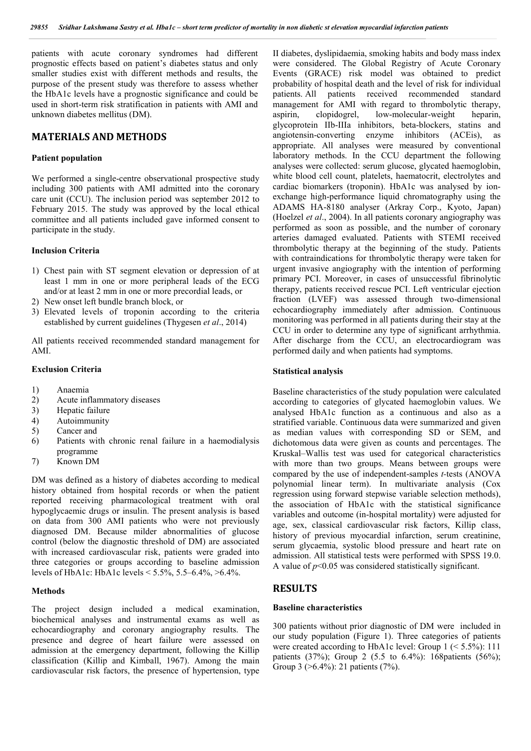patients with acute coronary syndromes had different prognostic effects based on patient's diabetes status and only smaller studies exist with different methods and results, the purpose of the present study was therefore to assess whether the HbA1c levels have a prognostic significance and could be used in short-term risk stratification in patients with AMI and unknown diabetes mellitus (DM).

# **MATERIALS AND METHODS**

#### **Patient population**

We performed a single-centre observational prospective study including 300 patients with AMI admitted into the coronary care unit (CCU). The inclusion period was september 2012 to February 2015. The study was approved by the local ethical committee and all patients included gave informed consent to participate in the study.

## **Inclusion Criteria**

- 1) Chest pain with ST segment elevation or depression of at least 1 mm in one or more peripheral leads of the ECG and/or at least 2 mm in one or more precordial leads, or
- 2) New onset left bundle branch block, or
- 3) Elevated levels of troponin according to the criteria established by current guidelines (Thygesen *et al*., 2014)

All patients received recommended standard management for AMI.

#### **Exclusion Criteria**

- 1) Anaemia
- 2) Acute inflammatory diseases
- 3) Hepatic failure
- 4) Autoimmunity
- 5) Cancer and
- 6) Patients with chronic renal failure in a haemodialysis programme
- 7) Known DM

DM was defined as a history of diabetes according to medical history obtained from hospital records or when the patient reported receiving pharmacological treatment with oral hypoglycaemic drugs or insulin. The present analysis is based on data from 300 AMI patients who were not previously diagnosed DM. Because milder abnormalities of glucose control (below the diagnostic threshold of DM) are associated with increased cardiovascular risk, patients were graded into three categories or groups according to baseline admission levels of HbA1c: HbA1c levels < 5.5%, 5.5–6.4%, >6.4%.

## **Methods**

The project design included a medical examination, biochemical analyses and instrumental exams as well as echocardiography and coronary angiography results. The presence and degree of heart failure were assessed on admission at the emergency department, following the Killip classification (Killip and Kimball, 1967). Among the main cardiovascular risk factors, the presence of hypertension, type

II diabetes, dyslipidaemia, smoking habits and body mass index were considered. The Global Registry of Acute Coronary Events (GRACE) risk model was obtained to predict probability of hospital death and the level of risk for individual patients. All patients received recommended standard management for AMI with regard to thrombolytic therapy, aspirin, clopidogrel, low-molecular-weight heparin, glycoprotein IIb-IIIa inhibitors, beta-blockers, statins and angiotensin-converting enzyme inhibitors (ACEis), as appropriate. All analyses were measured by conventional laboratory methods. In the CCU department the following analyses were collected: serum glucose, glycated haemoglobin, white blood cell count, platelets, haematocrit, electrolytes and cardiac biomarkers (troponin). HbA1c was analysed by ionexchange high-performance liquid chromatography using the ADAMS HA-8180 analyser (Arkray Corp., Kyoto, Japan) (Hoelzel *et al*., 2004). In all patients coronary angiography was performed as soon as possible, and the number of coronary arteries damaged evaluated. Patients with STEMI received thrombolytic therapy at the beginning of the study. Patients with contraindications for thrombolytic therapy were taken for urgent invasive angiography with the intention of performing primary PCI. Moreover, in cases of unsuccessful fibrinolytic therapy, patients received rescue PCI. Left ventricular ejection fraction (LVEF) was assessed through two-dimensional echocardiography immediately after admission. Continuous monitoring was performed in all patients during their stay at the CCU in order to determine any type of significant arrhythmia. After discharge from the CCU, an electrocardiogram was performed daily and when patients had symptoms.

#### **Statistical analysis**

Baseline characteristics of the study population were calculated according to categories of glycated haemoglobin values. We analysed HbA1c function as a continuous and also as a stratified variable. Continuous data were summarized and given as median values with corresponding SD or SEM, and dichotomous data were given as counts and percentages. The Kruskal–Wallis test was used for categorical characteristics with more than two groups. Means between groups were compared by the use of independent-samples *t-*tests (ANOVA polynomial linear term). In multivariate analysis (Cox regression using forward stepwise variable selection methods), the association of HbA1c with the statistical significance variables and outcome (in-hospital mortality) were adjusted for age, sex, classical cardiovascular risk factors, Killip class, history of previous myocardial infarction, serum creatinine, serum glycaemia, systolic blood pressure and heart rate on admission. All statistical tests were performed with SPSS 19.0. A value of *p*<0.05 was considered statistically significant.

# **RESULTS**

#### **Baseline characteristics**

300 patients without prior diagnostic of DM were included in our study population (Figure 1). Three categories of patients were created according to HbA1c level: Group  $1$  (< 5.5%): 111 patients (37%); Group 2 (5.5 to 6.4%): 168patients (56%); Group 3 (>6.4%): 21 patients (7%).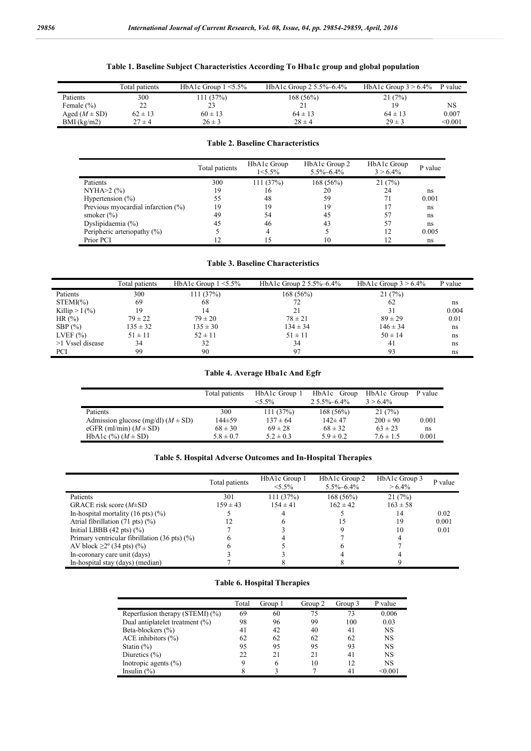# **Table 1. Baseline Subject Characteristics According To Hba1c group and global population**

|                   | Total patients | HbA1c Group $1 \le 5.5\%$ | HbA1c Group $2\frac{5.5}{6}$ –6.4% | HbA1c Group $3 > 6.4\%$ | P value |
|-------------------|----------------|---------------------------|------------------------------------|-------------------------|---------|
| Patients          | 300            | 111 (37%)                 | 168 (56%)                          | 21(7%)                  |         |
| Female $(\% )$    | ∠∠             | 23                        | ∠ 1                                | 19                      | NS      |
| Aged $(M \pm SD)$ | $62 \pm 13$    | $60 \pm 13$               | $64 \pm 13$                        | $64 \pm 13$             | 0.007   |
| $BMI$ (kg/m2)     | $27 \pm 4$     | $26 \pm 3$                | $28 \pm 4$                         | $29 \pm 3$              | < 0.001 |

## **Table 2. Baseline Characteristics**

|                                    | Total patients | HbA1c Group<br>$1 < 5.5\%$ | HbA1c Group 2<br>$5.5\% - 6.4\%$ | HbA1c Group<br>$3 > 6.4\%$ | P value |
|------------------------------------|----------------|----------------------------|----------------------------------|----------------------------|---------|
| Patients                           | 300            | 111(37%)                   | 168(56%)                         | 21(7%)                     |         |
| $NYHA > 2$ (%)                     | 19             | 16                         | 20                               | 24                         | ns      |
| Hypertension $(\% )$               | 55             | 48                         | 59                               |                            | 0.001   |
| Previous myocardial infarction (%) | 19             | 19                         | 19                               |                            | ns      |
| smoker $(\% )$                     | 49             | 54                         | 45                               |                            | ns      |
| Dyslipidaemia $(\%)$               | 45             | 46                         | 43                               | 57                         | ns      |
| Peripheric arteriopathy $(\% )$    |                | 4                          |                                  |                            | 0.005   |
| Prior PCI                          | 12             | 15                         | 10                               |                            | ns      |

#### **Table 3. Baseline Characteristics**

|                  | Total patients | HbA1c Group $1 \le 5.5\%$ | HbA1c Group $2\frac{5.5}{6}$ –6.4% | HbA1c Group $3 > 6.4\%$ | P value |
|------------------|----------------|---------------------------|------------------------------------|-------------------------|---------|
| Patients         | 300            | 111 (37%)                 | $168(56\%)$                        | 21(7%)                  |         |
| $STEMI(\%)$      | 69             | 68                        | 72                                 | 62                      | ns      |
| Killip $>1$ (%)  | 19             |                           |                                    | 31                      | 0.004   |
| HR $(%)$         | $79 \pm 22$    | $79 \pm 20$               | $78 \pm 21$                        | $89 \pm 29$             | 0.01    |
| SBP $(\% )$      | $135 \pm 32$   | $135 \pm 30$              | $134 \pm 34$                       | $146 \pm 34$            | ns      |
| LVEF $(\% )$     | $51 \pm 11$    | $52 \pm 11$               | $51 \pm 11$                        | $50 \pm 14$             | ns      |
| >1 Vssel disease | 34             | 32                        | 34                                 | 41                      | ns      |
| PCI              | 99             | 90                        | 97                                 | 93                      | ns      |

# **Table 4. Average Hba1c And Egfr**

|                                        | Total patients | HbA1c Group 1 | HbA1c Group      | HbA1c Group   | P value |
|----------------------------------------|----------------|---------------|------------------|---------------|---------|
|                                        |                | $5.5\%$       | $25.5\% - 6.4\%$ | $3 > 6.4\%$   |         |
| Patients                               | 300            | 111(37%)      | $168(56\%)$      | 21(7%)        |         |
| Admission glucose (mg/dl) $(M \pm SD)$ | 144±59         | $137 \pm 64$  | $142 \pm 47$     | $200 \pm 90$  | 0.001   |
| eGFR (ml/min) $(M \pm SD)$             | $68 \pm 30$    | $69 \pm 28$   | $68 \pm 32$      | $63 \pm 23$   | ns      |
| HbA1c $(\%) (M \pm SD)$                | $5.8 \pm 0.7$  | $5.2 \pm 0.3$ | $5.9 \pm 0.2$    | $7.6 \pm 1.5$ | 0.001   |

# **Table 5. Hospital Adverse Outcomes and In-Hospital Therapies**

|                                                         | Total patients | HbA1c Group 1<br>$< 5.5\%$ | HbA1c Group 2<br>$5.5\% - 6.4\%$ | HbA1c Group 3<br>$> 6.4\%$ | P value |
|---------------------------------------------------------|----------------|----------------------------|----------------------------------|----------------------------|---------|
| Patients                                                | 301            | 111 (37%)                  | 168(56%)                         | 21(7%)                     |         |
| GRACE risk score $(M \pm SD)$                           | $159 \pm 43$   | $154 \pm 41$               | $162 \pm 42$                     | $163 \pm 58$               |         |
| In-hospital mortality $(16 \text{ pts})$ $(\%)$         |                |                            |                                  | 14                         | 0.02    |
| Atrial fibrillation $(71 \text{ pts})$ $(\%)$           |                |                            | 15                               | 19                         | 0.001   |
| Initial LBBB $(42 \text{ pts})$ $(\%)$                  |                |                            |                                  | 10                         | 0.01    |
| Primary ventricular fibrillation $(36 \text{ pts})$ (%) |                |                            |                                  |                            |         |
| AV block $\geq 2^{\circ}$ (34 pts) (%)                  |                |                            |                                  |                            |         |
| In-coronary care unit (days)                            |                |                            |                                  |                            |         |
| In-hospital stay (days) (median)                        |                |                            |                                  |                            |         |

# **Table 6. Hospital Therapies**

|                                 | Total | Group 1 | Group 2 | Group 3 | P value   |
|---------------------------------|-------|---------|---------|---------|-----------|
| Reperfusion therapy (STEMI) (%) | 69    | 60      | 75      | 73      | 0.006     |
| Dual antiplatelet treatment (%) | 98    | 96      | 99      | 100     | 0.03      |
| Beta-blockers (%)               | 41    | 42      | 40      | 41      | NS        |
| ACE inhibitors $(\% )$          | 62    | 62      | 62      | 62      | NS        |
| Statin $(\%)$                   | 95    | 95      | 95      | 93      | <b>NS</b> |
| Diuretics $(\% )$               | 22    | 21      | 21      | 41      | NS        |
| Inotropic agents $(\% )$        | 9     | 6       | 10      | 12      | <b>NS</b> |
| Insulin $(\% )$                 | 8     |         |         | 41      | < 0.001   |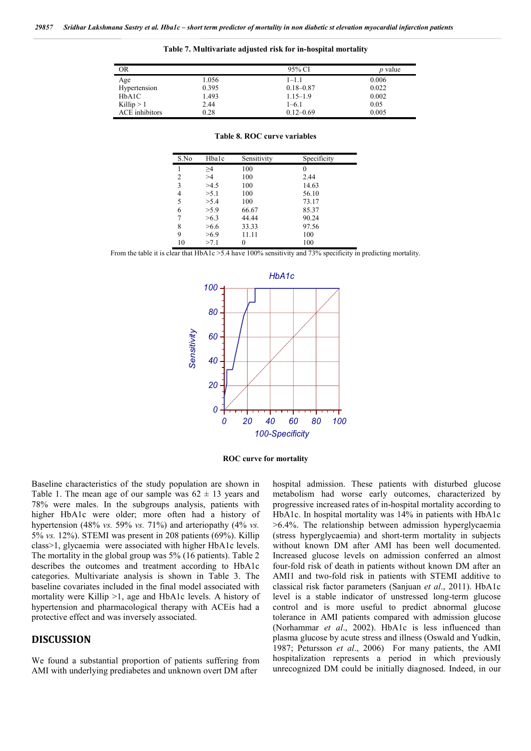**Table 7. Multivariate adjusted risk for in-hospital mortality**

| OR             |       | 95% CI        | <i>p</i> value |
|----------------|-------|---------------|----------------|
| Age            | 1.056 | 1–1.1         | 0.006          |
| Hypertension   | 0.395 | $0.18 - 0.87$ | 0.022          |
| HbA1C          | 1.493 | $1.15 - 1.9$  | 0.002          |
| Killip $> 1$   | 2.44  | 1–6.1         | 0.05           |
| ACE inhibitors | 0.28  | $0.12 - 0.69$ | 0.005          |

| S.No | Hbalc    | Sensitivity | Specificity |
|------|----------|-------------|-------------|
| 1    | $\geq 4$ | 100         | 0           |
| 2    | >4       | 100         | 2.44        |
| 3    | >4.5     | 100         | 14.63       |
| 4    | >5.1     | 100         | 56.10       |
| 5    | >5.4     | 100         | 73.17       |
| 6    | >5.9     | 66.67       | 85.37       |
| 7    | >6.3     | 44.44       | 90.24       |
| 8    | >6.6     | 33.33       | 97.56       |
| 9    | >6.9     | 11.11       | 100         |
| 10   | >7.1     | 0           | 100         |

**Table 8. ROC curve variables**

From the table it is clear that HbA1c > 5.4 have 100% sensitivity and 73% specificity in predicting mortality.



**ROC curve for mortality**

Baseline characteristics of the study population are shown in Table 1. The mean age of our sample was  $62 \pm 13$  years and 78% were males. In the subgroups analysis, patients with higher HbA1c were older; more often had a history of hypertension (48% *vs.* 59% *vs.* 71%) and arteriopathy (4% *vs.*  5% *vs.* 12%). STEMI was present in 208 patients (69%). Killip class>1, glycaemia were associated with higher HbA1c levels. The mortality in the global group was 5% (16 patients). Table 2 describes the outcomes and treatment according to HbA1c categories. Multivariate analysis is shown in Table 3. The baseline covariates included in the final model associated with mortality were Killip >1, age and HbA1c levels. A history of hypertension and pharmacological therapy with ACEis had a protective effect and was inversely associated.

# **DISCUSSION**

We found a substantial proportion of patients suffering from AMI with underlying prediabetes and unknown overt DM after

hospital admission. These patients with disturbed glucose metabolism had worse early outcomes, characterized by progressive increased rates of in-hospital mortality according to HbA1c. In hospital mortality was 14% in patients with HbA1c >6.4%. The relationship between admission hyperglycaemia (stress hyperglycaemia) and short-term mortality in subjects without known DM after AMI has been well documented. Increased glucose levels on admission conferred an almost four-fold risk of death in patients without known DM after an AMI1 and two-fold risk in patients with STEMI additive to classical risk factor parameters (Sanjuan *et al*., 2011). HbA1c level is a stable indicator of unstressed long-term glucose control and is more useful to predict abnormal glucose tolerance in AMI patients compared with admission glucose (Norhammar *et al*., 2002). HbA1c is less influenced than plasma glucose by acute stress and illness (Oswald and Yudkin, 1987; Petursson *et al*., 2006) For many patients, the AMI hospitalization represents a period in which previously unrecognized DM could be initially diagnosed. Indeed, in our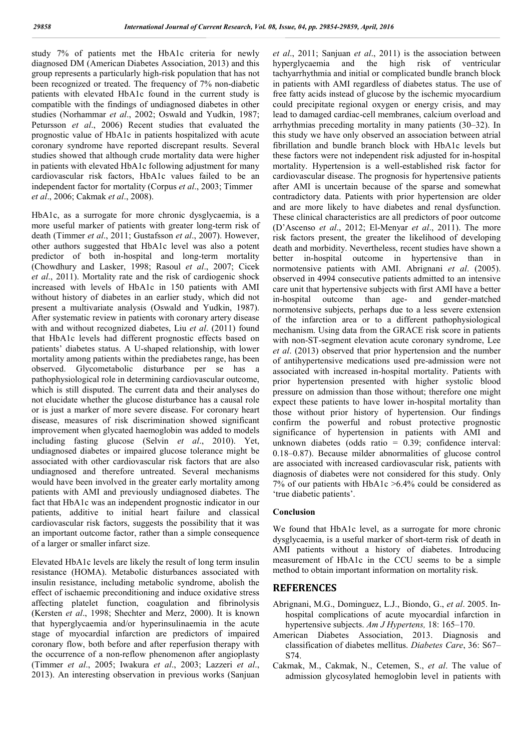study 7% of patients met the HbA1c criteria for newly diagnosed DM (American Diabetes Association, 2013) and this group represents a particularly high-risk population that has not been recognized or treated. The frequency of 7% non-diabetic patients with elevated HbA1c found in the current study is compatible with the findings of undiagnosed diabetes in other studies (Norhammar *et al*., 2002; Oswald and Yudkin, 1987; Petursson *et al*., 2006) Recent studies that evaluated the prognostic value of HbA1c in patients hospitalized with acute coronary syndrome have reported discrepant results. Several studies showed that although crude mortality data were higher in patients with elevated HbA1c following adjustment for many cardiovascular risk factors, HbA1c values failed to be an independent factor for mortality (Corpus *et al*., 2003; Timmer *et al*., 2006; Cakmak *et al*., 2008).

HbA1c, as a surrogate for more chronic dysglycaemia, is a more useful marker of patients with greater long-term risk of death (Timmer *et al*., 2011; Gustafsson *et al*., 2007). However, other authors suggested that HbA1c level was also a potent predictor of both in-hospital and long-term mortality (Chowdhury and Lasker, 1998; Rasoul *et al*., 2007; Cicek *et al*., 2011). Mortality rate and the risk of cardiogenic shock increased with levels of HbA1c in 150 patients with AMI without history of diabetes in an earlier study, which did not present a multivariate analysis (Oswald and Yudkin, 1987). After systematic review in patients with coronary artery disease with and without recognized diabetes, Liu *et al*. (2011) found that HbA1c levels had different prognostic effects based on patients' diabetes status. A U-shaped relationship, with lower mortality among patients within the prediabetes range, has been observed. Glycometabolic disturbance per se has a pathophysiological role in determining cardiovascular outcome, which is still disputed. The current data and their analyses do not elucidate whether the glucose disturbance has a causal role or is just a marker of more severe disease. For coronary heart disease, measures of risk discrimination showed significant improvement when glycated haemoglobin was added to models including fasting glucose (Selvin *et al*., 2010). Yet, undiagnosed diabetes or impaired glucose tolerance might be associated with other cardiovascular risk factors that are also undiagnosed and therefore untreated. Several mechanisms would have been involved in the greater early mortality among patients with AMI and previously undiagnosed diabetes. The fact that HbA1c was an independent prognostic indicator in our patients, additive to initial heart failure and classical cardiovascular risk factors, suggests the possibility that it was an important outcome factor, rather than a simple consequence of a larger or smaller infarct size.

Elevated HbA1c levels are likely the result of long term insulin resistance (HOMA). Metabolic disturbances associated with insulin resistance, including metabolic syndrome, abolish the effect of ischaemic preconditioning and induce oxidative stress affecting platelet function, coagulation and fibrinolysis (Kersten *et al*., 1998; Shechter and Merz, 2000). It is known that hyperglycaemia and/or hyperinsulinaemia in the acute stage of myocardial infarction are predictors of impaired coronary flow, both before and after reperfusion therapy with the occurrence of a non-reflow phenomenon after angioplasty (Timmer *et al*., 2005; Iwakura *et al*., 2003; Lazzeri *et al*., 2013). An interesting observation in previous works (Sanjuan *et al*., 2011; Sanjuan *et al*., 2011) is the association between hyperglycaemia and the high risk of ventricular tachyarrhythmia and initial or complicated bundle branch block in patients with AMI regardless of diabetes status. The use of free fatty acids instead of glucose by the ischemic myocardium could precipitate regional oxygen or energy crisis, and may lead to damaged cardiac-cell membranes, calcium overload and arrhythmias preceding mortality in many patients (30–32). In this study we have only observed an association between atrial fibrillation and bundle branch block with HbA1c levels but these factors were not independent risk adjusted for in-hospital mortality. Hypertension is a well-established risk factor for cardiovascular disease. The prognosis for hypertensive patients after AMI is uncertain because of the sparse and somewhat contradictory data. Patients with prior hypertension are older and are more likely to have diabetes and renal dysfunction. These clinical characteristics are all predictors of poor outcome (D'Ascenso *et al*., 2012; El-Menyar *et al*., 2011). The more risk factors present, the greater the likelihood of developing death and morbidity. Nevertheless, recent studies have shown a better in-hospital outcome in hypertensive than in normotensive patients with AMI. Abrignani *et al*. (2005). observed in 4994 consecutive patients admitted to an intensive care unit that hypertensive subjects with first AMI have a better in-hospital outcome than age- and gender-matched normotensive subjects, perhaps due to a less severe extension of the infarction area or to a different pathophysiological mechanism. Using data from the GRACE risk score in patients with non-ST-segment elevation acute coronary syndrome, Lee *et al*. (2013) observed that prior hypertension and the number of antihypertensive medications used pre-admission were not associated with increased in-hospital mortality. Patients with prior hypertension presented with higher systolic blood pressure on admission than those without; therefore one might expect these patients to have lower in-hospital mortality than those without prior history of hypertension. Our findings confirm the powerful and robust protective prognostic significance of hypertension in patients with AMI and unknown diabetes (odds ratio = 0.39; confidence interval: 0.18–0.87). Because milder abnormalities of glucose control are associated with increased cardiovascular risk, patients with diagnosis of diabetes were not considered for this study. Only 7% of our patients with HbA1c >6.4% could be considered as 'true diabetic patients'.

#### **Conclusion**

We found that HbA1c level, as a surrogate for more chronic dysglycaemia, is a useful marker of short-term risk of death in AMI patients without a history of diabetes. Introducing measurement of HbA1c in the CCU seems to be a simple method to obtain important information on mortality risk.

## **REFERENCES**

- Abrignani, M.G., Dominguez, L.J., Biondo, G., *et al*. 2005. Inhospital complications of acute myocardial infarction in hypertensive subjects. *Am J Hypertens,* 18: 165–170.
- American Diabetes Association, 2013. Diagnosis and classification of diabetes mellitus. *Diabetes Care*, 36: S67– S74.
- Cakmak, M., Cakmak, N., Cetemen, S., *et al*. The value of admission glycosylated hemoglobin level in patients with